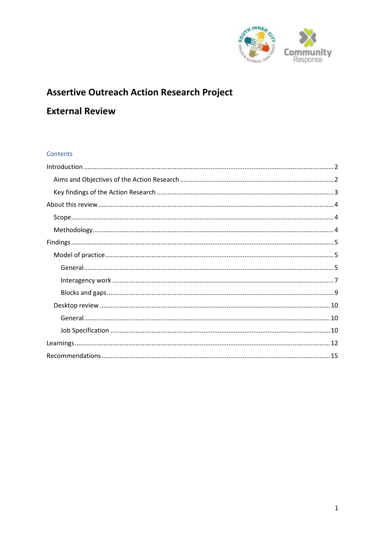

# **Assertive Outreach Action Research Project**

# **External Review**

### Contents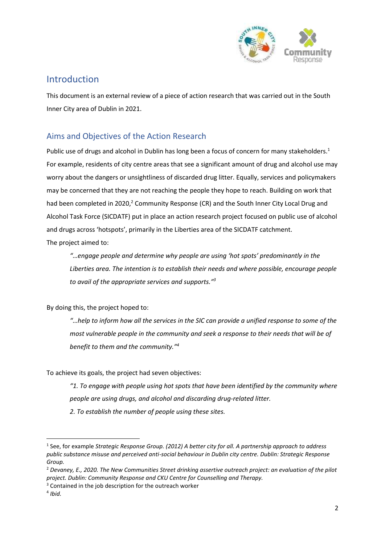

# <span id="page-1-0"></span>Introduction

This document is an external review of a piece of action research that was carried out in the South Inner City area of Dublin in 2021.

# <span id="page-1-1"></span>Aims and Objectives of the Action Research

Public use of drugs and alcohol in Dublin has long been a focus of concern for many stakeholders.<sup>1</sup> For example, residents of city centre areas that see a significant amount of drug and alcohol use may worry about the dangers or unsightliness of discarded drug litter. Equally, services and policymakers may be concerned that they are not reaching the people they hope to reach. Building on work that had been completed in 2020,<sup>2</sup> Community Response (CR) and the South Inner City Local Drug and Alcohol Task Force (SICDATF) put in place an action research project focused on public use of alcohol and drugs across 'hotspots', primarily in the Liberties area of the SICDATF catchment. The project aimed to:

*"…engage people and determine why people are using 'hot spots' predominantly in the Liberties area. The intention is to establish their needs and where possible, encourage people to avail of the appropriate services and supports."<sup>3</sup>*

By doing this, the project hoped to:

*"…help to inform how all the services in the SIC can provide a unified response to some of the most vulnerable people in the community and seek a response to their needs that will be of benefit to them and the community."<sup>4</sup>* 

To achieve its goals, the project had seven objectives:

*"1. To engage with people using hot spots that have been identified by the community where people are using drugs, and alcohol and discarding drug-related litter.*

*2. To establish the number of people using these sites.*

 $\overline{a}$ 

<sup>1</sup> See, for example *Strategic Response Group. (2012) A better city for all. A partnership approach to address public substance misuse and perceived anti-social behaviour in Dublin city centre. Dublin: Strategic Response Group.*

<sup>2</sup> *Devaney, E., 2020. The New Communities Street drinking assertive outreach project: an evaluation of the pilot project. Dublin: Community Response and CKU Centre for Counselling and Therapy.*

<sup>&</sup>lt;sup>3</sup> Contained in the job description for the outreach worker

<sup>4</sup> *Ibid.*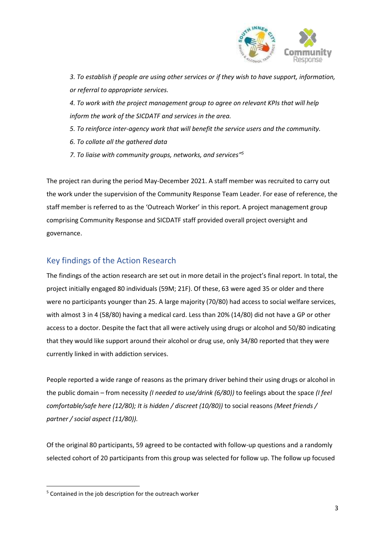

*3. To establish if people are using other services or if they wish to have support, information, or referral to appropriate services.*

*4. To work with the project management group to agree on relevant KPIs that will help inform the work of the SICDATF and services in the area.*

*5. To reinforce inter-agency work that will benefit the service users and the community.*

- *6. To collate all the gathered data*
- *7. To liaise with community groups, networks, and services" 5*

The project ran during the period May-December 2021. A staff member was recruited to carry out the work under the supervision of the Community Response Team Leader. For ease of reference, the staff member is referred to as the 'Outreach Worker' in this report. A project management group comprising Community Response and SICDATF staff provided overall project oversight and governance.

# <span id="page-2-0"></span>Key findings of the Action Research

The findings of the action research are set out in more detail in the project's final report. In total, the project initially engaged 80 individuals (59M; 21F). Of these, 63 were aged 35 or older and there were no participants younger than 25. A large majority (70/80) had access to social welfare services, with almost 3 in 4 (58/80) having a medical card. Less than 20% (14/80) did not have a GP or other access to a doctor. Despite the fact that all were actively using drugs or alcohol and 50/80 indicating that they would like support around their alcohol or drug use, only 34/80 reported that they were currently linked in with addiction services.

People reported a wide range of reasons as the primary driver behind their using drugs or alcohol in the public domain – from necessity *(I needed to use/drink (6/80))* to feelings about the space *(I feel comfortable/safe here (12/80); It is hidden / discreet (10/80))* to social reasons *(Meet friends / partner / social aspect (11/80)).*

Of the original 80 participants, 59 agreed to be contacted with follow-up questions and a randomly selected cohort of 20 participants from this group was selected for follow up. The follow up focused

**.** 

<sup>&</sup>lt;sup>5</sup> Contained in the job description for the outreach worker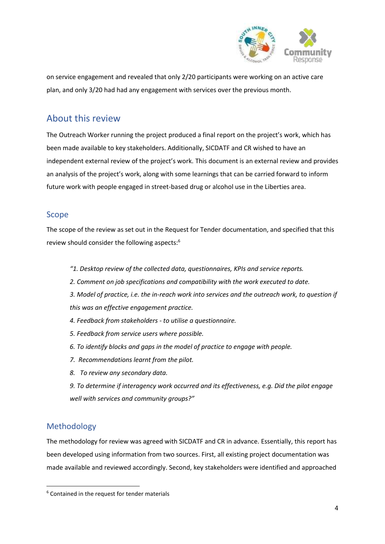

on service engagement and revealed that only 2/20 participants were working on an active care plan, and only 3/20 had had any engagement with services over the previous month.

# <span id="page-3-0"></span>About this review

The Outreach Worker running the project produced a final report on the project's work, which has been made available to key stakeholders. Additionally, SICDATF and CR wished to have an independent external review of the project's work. This document is an external review and provides an analysis of the project's work, along with some learnings that can be carried forward to inform future work with people engaged in street-based drug or alcohol use in the Liberties area.

### <span id="page-3-1"></span>Scope

The scope of the review as set out in the Request for Tender documentation, and specified that this review should consider the following aspects: 6

- *"1. Desktop review of the collected data, questionnaires, KPIs and service reports.*
- *2. Comment on job specifications and compatibility with the work executed to date.*
- *3. Model of practice, i.e. the in-reach work into services and the outreach work, to question if this was an effective engagement practice.*
- *4. Feedback from stakeholders - to utilise a questionnaire.*
- *5. Feedback from service users where possible.*
- *6. To identify blocks and gaps in the model of practice to engage with people.*
- *7. Recommendations learnt from the pilot.*
- *8. To review any secondary data.*

*9. To determine if interagency work occurred and its effectiveness, e.g. Did the pilot engage well with services and community groups?"*

# <span id="page-3-2"></span>Methodology

**.** 

The methodology for review was agreed with SICDATF and CR in advance. Essentially, this report has been developed using information from two sources. First, all existing project documentation was made available and reviewed accordingly. Second, key stakeholders were identified and approached

<sup>6</sup> Contained in the request for tender materials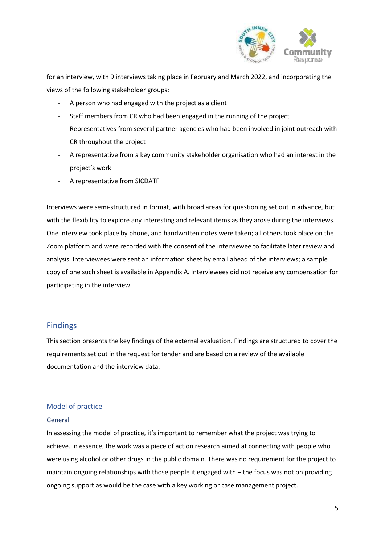

for an interview, with 9 interviews taking place in February and March 2022, and incorporating the views of the following stakeholder groups:

- A person who had engaged with the project as a client
- Staff members from CR who had been engaged in the running of the project
- Representatives from several partner agencies who had been involved in joint outreach with CR throughout the project
- A representative from a key community stakeholder organisation who had an interest in the project's work
- A representative from SICDATF

Interviews were semi-structured in format, with broad areas for questioning set out in advance, but with the flexibility to explore any interesting and relevant items as they arose during the interviews. One interview took place by phone, and handwritten notes were taken; all others took place on the Zoom platform and were recorded with the consent of the interviewee to facilitate later review and analysis. Interviewees were sent an information sheet by email ahead of the interviews; a sample copy of one such sheet is available in Appendix A. Interviewees did not receive any compensation for participating in the interview.

### <span id="page-4-0"></span>Findings

This section presents the key findings of the external evaluation. Findings are structured to cover the requirements set out in the request for tender and are based on a review of the available documentation and the interview data.

#### <span id="page-4-1"></span>Model of practice

#### <span id="page-4-2"></span>General

In assessing the model of practice, it's important to remember what the project was trying to achieve. In essence, the work was a piece of action research aimed at connecting with people who were using alcohol or other drugs in the public domain. There was no requirement for the project to maintain ongoing relationships with those people it engaged with – the focus was not on providing ongoing support as would be the case with a key working or case management project.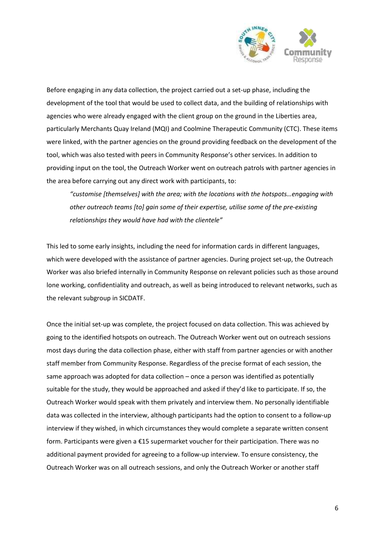

Before engaging in any data collection, the project carried out a set-up phase, including the development of the tool that would be used to collect data, and the building of relationships with agencies who were already engaged with the client group on the ground in the Liberties area, particularly Merchants Quay Ireland (MQI) and Coolmine Therapeutic Community (CTC). These items were linked, with the partner agencies on the ground providing feedback on the development of the tool, which was also tested with peers in Community Response's other services. In addition to providing input on the tool, the Outreach Worker went on outreach patrols with partner agencies in the area before carrying out any direct work with participants, to:

*"customise [themselves] with the area; with the locations with the hotspots…engaging with other outreach teams [to] gain some of their expertise, utilise some of the pre-existing relationships they would have had with the clientele"*

This led to some early insights, including the need for information cards in different languages, which were developed with the assistance of partner agencies. During project set-up, the Outreach Worker was also briefed internally in Community Response on relevant policies such as those around lone working, confidentiality and outreach, as well as being introduced to relevant networks, such as the relevant subgroup in SICDATF.

Once the initial set-up was complete, the project focused on data collection. This was achieved by going to the identified hotspots on outreach. The Outreach Worker went out on outreach sessions most days during the data collection phase, either with staff from partner agencies or with another staff member from Community Response. Regardless of the precise format of each session, the same approach was adopted for data collection – once a person was identified as potentially suitable for the study, they would be approached and asked if they'd like to participate. If so, the Outreach Worker would speak with them privately and interview them. No personally identifiable data was collected in the interview, although participants had the option to consent to a follow-up interview if they wished, in which circumstances they would complete a separate written consent form. Participants were given a €15 supermarket voucher for their participation. There was no additional payment provided for agreeing to a follow-up interview. To ensure consistency, the Outreach Worker was on all outreach sessions, and only the Outreach Worker or another staff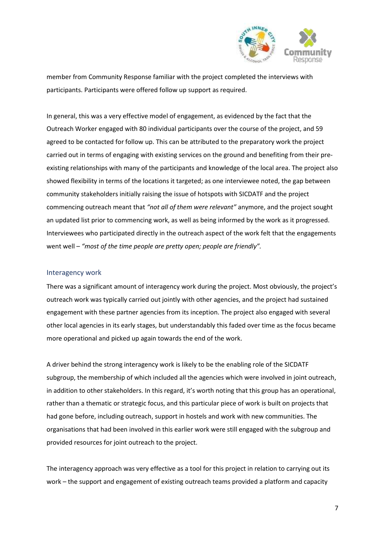

member from Community Response familiar with the project completed the interviews with participants. Participants were offered follow up support as required.

In general, this was a very effective model of engagement, as evidenced by the fact that the Outreach Worker engaged with 80 individual participants over the course of the project, and 59 agreed to be contacted for follow up. This can be attributed to the preparatory work the project carried out in terms of engaging with existing services on the ground and benefiting from their preexisting relationships with many of the participants and knowledge of the local area. The project also showed flexibility in terms of the locations it targeted; as one interviewee noted, the gap between community stakeholders initially raising the issue of hotspots with SICDATF and the project commencing outreach meant that *"not all of them were relevant"* anymore, and the project sought an updated list prior to commencing work, as well as being informed by the work as it progressed. Interviewees who participated directly in the outreach aspect of the work felt that the engagements went well – *"most of the time people are pretty open; people are friendly".* 

#### <span id="page-6-0"></span>Interagency work

There was a significant amount of interagency work during the project. Most obviously, the project's outreach work was typically carried out jointly with other agencies, and the project had sustained engagement with these partner agencies from its inception. The project also engaged with several other local agencies in its early stages, but understandably this faded over time as the focus became more operational and picked up again towards the end of the work.

A driver behind the strong interagency work is likely to be the enabling role of the SICDATF subgroup, the membership of which included all the agencies which were involved in joint outreach, in addition to other stakeholders. In this regard, it's worth noting that this group has an operational, rather than a thematic or strategic focus, and this particular piece of work is built on projects that had gone before, including outreach, support in hostels and work with new communities. The organisations that had been involved in this earlier work were still engaged with the subgroup and provided resources for joint outreach to the project.

The interagency approach was very effective as a tool for this project in relation to carrying out its work – the support and engagement of existing outreach teams provided a platform and capacity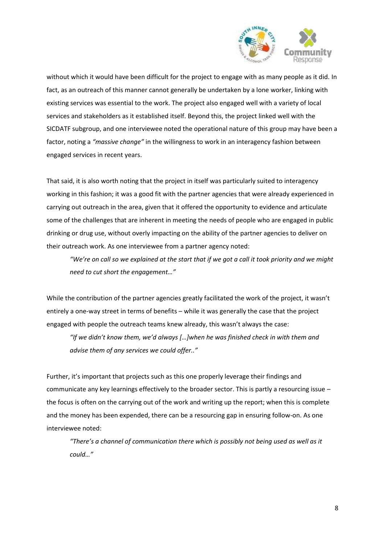

without which it would have been difficult for the project to engage with as many people as it did. In fact, as an outreach of this manner cannot generally be undertaken by a lone worker, linking with existing services was essential to the work. The project also engaged well with a variety of local services and stakeholders as it established itself. Beyond this, the project linked well with the SICDATF subgroup, and one interviewee noted the operational nature of this group may have been a factor, noting a *"massive change"* in the willingness to work in an interagency fashion between engaged services in recent years.

That said, it is also worth noting that the project in itself was particularly suited to interagency working in this fashion; it was a good fit with the partner agencies that were already experienced in carrying out outreach in the area, given that it offered the opportunity to evidence and articulate some of the challenges that are inherent in meeting the needs of people who are engaged in public drinking or drug use, without overly impacting on the ability of the partner agencies to deliver on their outreach work. As one interviewee from a partner agency noted:

*"We're on call so we explained at the start that if we got a call it took priority and we might need to cut short the engagement…"*

While the contribution of the partner agencies greatly facilitated the work of the project, it wasn't entirely a one-way street in terms of benefits – while it was generally the case that the project engaged with people the outreach teams knew already, this wasn't always the case:

*"If we didn't know them, we'd always […]when he was finished check in with them and advise them of any services we could offer.."*

Further, it's important that projects such as this one properly leverage their findings and communicate any key learnings effectively to the broader sector. This is partly a resourcing issue – the focus is often on the carrying out of the work and writing up the report; when this is complete and the money has been expended, there can be a resourcing gap in ensuring follow-on. As one interviewee noted:

*"There's a channel of communication there which is possibly not being used as well as it could…"*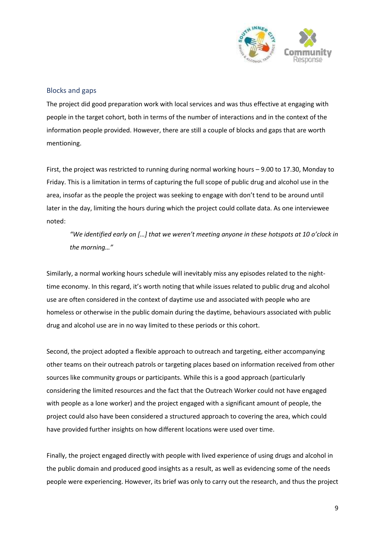

#### <span id="page-8-0"></span>Blocks and gaps

The project did good preparation work with local services and was thus effective at engaging with people in the target cohort, both in terms of the number of interactions and in the context of the information people provided. However, there are still a couple of blocks and gaps that are worth mentioning.

First, the project was restricted to running during normal working hours – 9.00 to 17.30, Monday to Friday. This is a limitation in terms of capturing the full scope of public drug and alcohol use in the area, insofar as the people the project was seeking to engage with don't tend to be around until later in the day, limiting the hours during which the project could collate data. As one interviewee noted:

*"We identified early on […] that we weren't meeting anyone in these hotspots at 10 o'clock in the morning…"* 

Similarly, a normal working hours schedule will inevitably miss any episodes related to the nighttime economy. In this regard, it's worth noting that while issues related to public drug and alcohol use are often considered in the context of daytime use and associated with people who are homeless or otherwise in the public domain during the daytime, behaviours associated with public drug and alcohol use are in no way limited to these periods or this cohort.

Second, the project adopted a flexible approach to outreach and targeting, either accompanying other teams on their outreach patrols or targeting places based on information received from other sources like community groups or participants. While this is a good approach (particularly considering the limited resources and the fact that the Outreach Worker could not have engaged with people as a lone worker) and the project engaged with a significant amount of people, the project could also have been considered a structured approach to covering the area, which could have provided further insights on how different locations were used over time.

Finally, the project engaged directly with people with lived experience of using drugs and alcohol in the public domain and produced good insights as a result, as well as evidencing some of the needs people were experiencing. However, its brief was only to carry out the research, and thus the project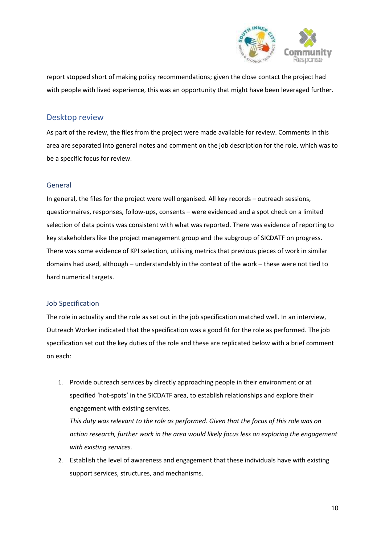

report stopped short of making policy recommendations; given the close contact the project had with people with lived experience, this was an opportunity that might have been leveraged further.

## <span id="page-9-0"></span>Desktop review

As part of the review, the files from the project were made available for review. Comments in this area are separated into general notes and comment on the job description for the role, which was to be a specific focus for review.

### <span id="page-9-1"></span>General

In general, the files for the project were well organised. All key records – outreach sessions, questionnaires, responses, follow-ups, consents – were evidenced and a spot check on a limited selection of data points was consistent with what was reported. There was evidence of reporting to key stakeholders like the project management group and the subgroup of SICDATF on progress. There was some evidence of KPI selection, utilising metrics that previous pieces of work in similar domains had used, although – understandably in the context of the work – these were not tied to hard numerical targets.

#### <span id="page-9-2"></span>Job Specification

The role in actuality and the role as set out in the job specification matched well. In an interview, Outreach Worker indicated that the specification was a good fit for the role as performed. The job specification set out the key duties of the role and these are replicated below with a brief comment on each:

1. Provide outreach services by directly approaching people in their environment or at specified 'hot-spots' in the SICDATF area, to establish relationships and explore their engagement with existing services. *This duty was relevant to the role as performed. Given that the focus of this role was on* 

*action research, further work in the area would likely focus less on exploring the engagement with existing services.*

2. Establish the level of awareness and engagement that these individuals have with existing support services, structures, and mechanisms.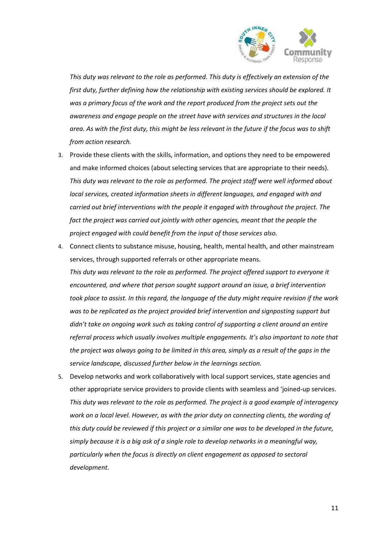

*This duty was relevant to the role as performed. This duty is effectively an extension of the first duty, further defining how the relationship with existing services should be explored. It was a primary focus of the work and the report produced from the project sets out the awareness and engage people on the street have with services and structures in the local area. As with the first duty, this might be less relevant in the future if the focus was to shift from action research.*

- 3. Provide these clients with the skills, information, and options they need to be empowered and make informed choices (about selecting services that are appropriate to their needs). *This duty was relevant to the role as performed. The project staff were well informed about local services, created information sheets in different languages, and engaged with and carried out brief interventions with the people it engaged with throughout the project. The*  fact the project was carried out jointly with other agencies, meant that the people the *project engaged with could benefit from the input of those services also.*
- 4. Connect clients to substance misuse, housing, health, mental health, and other mainstream services, through supported referrals or other appropriate means. *This duty was relevant to the role as performed. The project offered support to everyone it encountered, and where that person sought support around an issue, a brief intervention took place to assist. In this regard, the language of the duty might require revision if the work was to be replicated as the project provided brief intervention and signposting support but didn't take on ongoing work such as taking control of supporting a client around an entire referral process which usually involves multiple engagements. It's also important to note that the project was always going to be limited in this area, simply as a result of the gaps in the service landscape, discussed further below in the learnings section.*
- 5. Develop networks and work collaboratively with local support services, state agencies and other appropriate service providers to provide clients with seamless and 'joined-up services. *This duty was relevant to the role as performed. The project is a good example of interagency work on a local level. However, as with the prior duty on connecting clients, the wording of this duty could be reviewed if this project or a similar one was to be developed in the future, simply because it is a big ask of a single role to develop networks in a meaningful way, particularly when the focus is directly on client engagement as opposed to sectoral development.*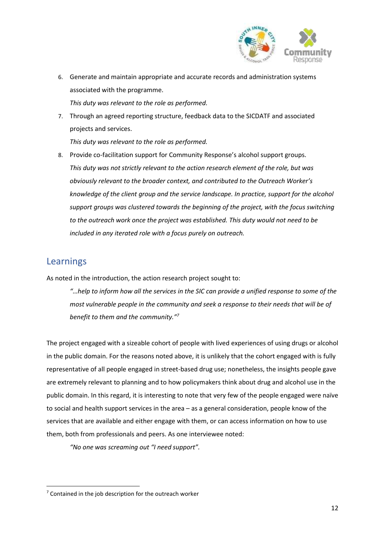

- 6. Generate and maintain appropriate and accurate records and administration systems associated with the programme. *This duty was relevant to the role as performed.*
- 7. Through an agreed reporting structure, feedback data to the SICDATF and associated projects and services.

*This duty was relevant to the role as performed.*

8. Provide co-facilitation support for Community Response's alcohol support groups. *This duty was not strictly relevant to the action research element of the role, but was obviously relevant to the broader context, and contributed to the Outreach Worker's knowledge of the client group and the service landscape. In practice, support for the alcohol support groups was clustered towards the beginning of the project, with the focus switching to the outreach work once the project was established. This duty would not need to be included in any iterated role with a focus purely on outreach.*

# <span id="page-11-0"></span>Learnings

**.** 

As noted in the introduction, the action research project sought to:

*"…help to inform how all the services in the SIC can provide a unified response to some of the most vulnerable people in the community and seek a response to their needs that will be of benefit to them and the community."<sup>7</sup>* 

The project engaged with a sizeable cohort of people with lived experiences of using drugs or alcohol in the public domain. For the reasons noted above, it is unlikely that the cohort engaged with is fully representative of all people engaged in street-based drug use; nonetheless, the insights people gave are extremely relevant to planning and to how policymakers think about drug and alcohol use in the public domain. In this regard, it is interesting to note that very few of the people engaged were naïve to social and health support services in the area – as a general consideration, people know of the services that are available and either engage with them, or can access information on how to use them, both from professionals and peers. As one interviewee noted:

*"No one was screaming out "I need support".* 

 $<sup>7</sup>$  Contained in the job description for the outreach worker</sup>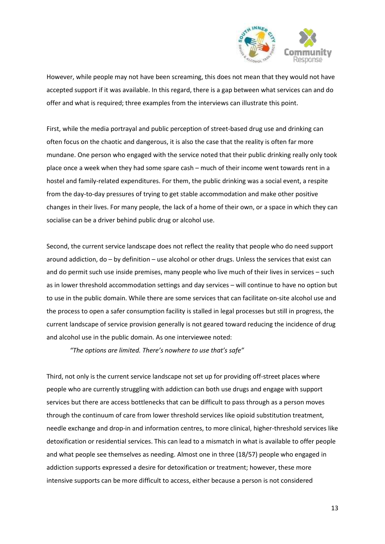

However, while people may not have been screaming, this does not mean that they would not have accepted support if it was available. In this regard, there is a gap between what services can and do offer and what is required; three examples from the interviews can illustrate this point.

First, while the media portrayal and public perception of street-based drug use and drinking can often focus on the chaotic and dangerous, it is also the case that the reality is often far more mundane. One person who engaged with the service noted that their public drinking really only took place once a week when they had some spare cash – much of their income went towards rent in a hostel and family-related expenditures. For them, the public drinking was a social event, a respite from the day-to-day pressures of trying to get stable accommodation and make other positive changes in their lives. For many people, the lack of a home of their own, or a space in which they can socialise can be a driver behind public drug or alcohol use.

Second, the current service landscape does not reflect the reality that people who do need support around addiction, do – by definition – use alcohol or other drugs. Unless the services that exist can and do permit such use inside premises, many people who live much of their lives in services – such as in lower threshold accommodation settings and day services – will continue to have no option but to use in the public domain. While there are some services that can facilitate on-site alcohol use and the process to open a safer consumption facility is stalled in legal processes but still in progress, the current landscape of service provision generally is not geared toward reducing the incidence of drug and alcohol use in the public domain. As one interviewee noted:

*"The options are limited. There's nowhere to use that's safe"*

Third, not only is the current service landscape not set up for providing off-street places where people who are currently struggling with addiction can both use drugs and engage with support services but there are access bottlenecks that can be difficult to pass through as a person moves through the continuum of care from lower threshold services like opioid substitution treatment, needle exchange and drop-in and information centres, to more clinical, higher-threshold services like detoxification or residential services. This can lead to a mismatch in what is available to offer people and what people see themselves as needing. Almost one in three (18/57) people who engaged in addiction supports expressed a desire for detoxification or treatment; however, these more intensive supports can be more difficult to access, either because a person is not considered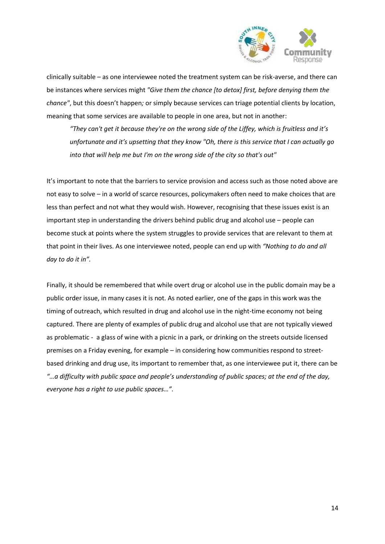

clinically suitable – as one interviewee noted the treatment system can be risk-averse, and there can be instances where services might *"Give them the chance [to detox] first, before denying them the chance"*, but this doesn't happen*;* or simply because services can triage potential clients by location, meaning that some services are available to people in one area, but not in another:

*"They can't get it because they're on the wrong side of the Liffey, which is fruitless and it's unfortunate and it's upsetting that they know "Oh, there is this service that I can actually go into that will help me but I'm on the wrong side of the city so that's out"*

It's important to note that the barriers to service provision and access such as those noted above are not easy to solve – in a world of scarce resources, policymakers often need to make choices that are less than perfect and not what they would wish. However, recognising that these issues exist is an important step in understanding the drivers behind public drug and alcohol use – people can become stuck at points where the system struggles to provide services that are relevant to them at that point in their lives. As one interviewee noted, people can end up with *"Nothing to do and all day to do it in".* 

Finally, it should be remembered that while overt drug or alcohol use in the public domain may be a public order issue, in many cases it is not. As noted earlier, one of the gaps in this work was the timing of outreach, which resulted in drug and alcohol use in the night-time economy not being captured. There are plenty of examples of public drug and alcohol use that are not typically viewed as problematic - a glass of wine with a picnic in a park, or drinking on the streets outside licensed premises on a Friday evening, for example – in considering how communities respond to streetbased drinking and drug use, its important to remember that, as one interviewee put it, there can be *"…a difficulty with public space and people's understanding of public spaces; at the end of the day, everyone has a right to use public spaces…".*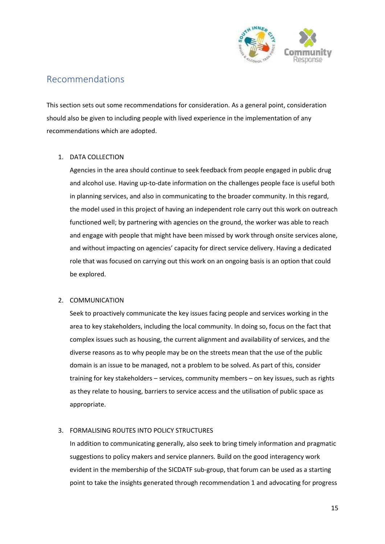

# <span id="page-14-0"></span>Recommendations

This section sets out some recommendations for consideration. As a general point, consideration should also be given to including people with lived experience in the implementation of any recommendations which are adopted.

#### 1. DATA COLLECTION

Agencies in the area should continue to seek feedback from people engaged in public drug and alcohol use. Having up-to-date information on the challenges people face is useful both in planning services, and also in communicating to the broader community. In this regard, the model used in this project of having an independent role carry out this work on outreach functioned well; by partnering with agencies on the ground, the worker was able to reach and engage with people that might have been missed by work through onsite services alone, and without impacting on agencies' capacity for direct service delivery. Having a dedicated role that was focused on carrying out this work on an ongoing basis is an option that could be explored.

#### 2. COMMUNICATION

Seek to proactively communicate the key issues facing people and services working in the area to key stakeholders, including the local community. In doing so, focus on the fact that complex issues such as housing, the current alignment and availability of services, and the diverse reasons as to why people may be on the streets mean that the use of the public domain is an issue to be managed, not a problem to be solved. As part of this, consider training for key stakeholders – services, community members – on key issues, such as rights as they relate to housing, barriers to service access and the utilisation of public space as appropriate.

### 3. FORMALISING ROUTES INTO POLICY STRUCTURES

In addition to communicating generally, also seek to bring timely information and pragmatic suggestions to policy makers and service planners. Build on the good interagency work evident in the membership of the SICDATF sub-group, that forum can be used as a starting point to take the insights generated through recommendation 1 and advocating for progress